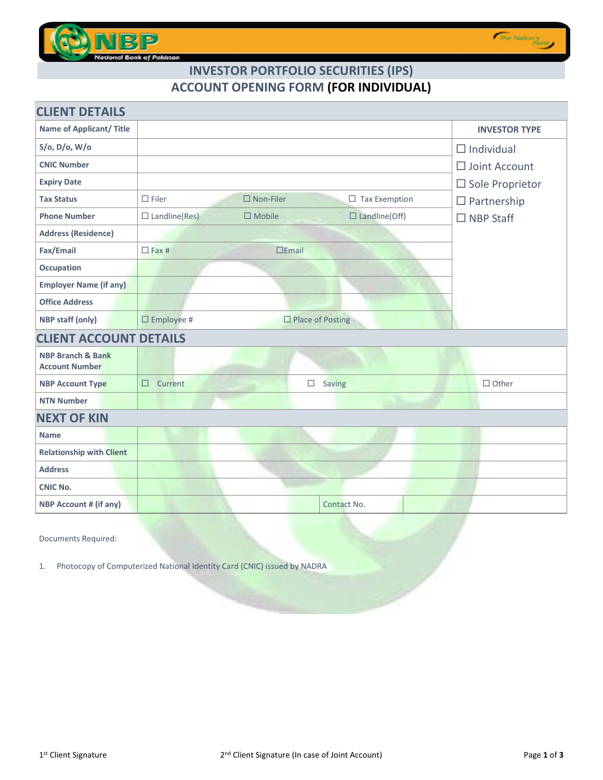

## **INVESTOR PORTFOLIO SECURITIES (IPS) ACCOUNT OPENING FORM (FOR INDIVIDUAL)**

| <b>CLIENT DETAILS</b>                                 |                                                                     |                           |  |  |  |  |
|-------------------------------------------------------|---------------------------------------------------------------------|---------------------------|--|--|--|--|
| <b>Name of Applicant/ Title</b>                       |                                                                     | <b>INVESTOR TYPE</b>      |  |  |  |  |
| S/o, D/o, W/o                                         |                                                                     | $\Box$ Individual         |  |  |  |  |
| <b>CNIC Number</b>                                    |                                                                     | $\Box$ Joint Account      |  |  |  |  |
| <b>Expiry Date</b>                                    |                                                                     | $\square$ Sole Proprietor |  |  |  |  |
| <b>Tax Status</b>                                     | $\square$ Filer<br>$\square$ Non-Filer<br>$\Box$ Tax Exemption      | $\Box$ Partnership        |  |  |  |  |
| <b>Phone Number</b>                                   | $\Box$ Landline(Res)<br>$\square$ Mobile<br>$\square$ Landline(Off) | $\Box$ NBP Staff          |  |  |  |  |
| <b>Address (Residence)</b>                            |                                                                     |                           |  |  |  |  |
| Fax/Email                                             | $\Box$ Fax #<br>$E$ mail                                            |                           |  |  |  |  |
| <b>Occupation</b>                                     |                                                                     |                           |  |  |  |  |
| <b>Employer Name (if any)</b>                         |                                                                     |                           |  |  |  |  |
| <b>Office Address</b>                                 |                                                                     |                           |  |  |  |  |
| <b>NBP staff (only)</b>                               | $\square$ Employee #<br>$\Box$ Place of Posting                     |                           |  |  |  |  |
| <b>CLIENT ACCOUNT DETAILS</b>                         |                                                                     |                           |  |  |  |  |
| <b>NBP Branch &amp; Bank</b><br><b>Account Number</b> |                                                                     |                           |  |  |  |  |
| <b>NBP Account Type</b>                               | $\Box$<br>Saving<br>Current<br>$\Box$                               | $\Box$ Other              |  |  |  |  |
| <b>NTN Number</b>                                     |                                                                     |                           |  |  |  |  |
| <b>NEXT OF KIN</b>                                    |                                                                     |                           |  |  |  |  |
| <b>Name</b>                                           |                                                                     |                           |  |  |  |  |
| <b>Relationship with Client</b>                       |                                                                     |                           |  |  |  |  |
| <b>Address</b>                                        |                                                                     |                           |  |  |  |  |
| <b>CNIC No.</b>                                       |                                                                     |                           |  |  |  |  |
| <b>NBP Account # (if any)</b>                         | Contact No.                                                         |                           |  |  |  |  |
|                                                       |                                                                     |                           |  |  |  |  |

Documents Required:

1. Photocopy of Computerized National Identity Card (CNIC) issued by NADRA

The Nation's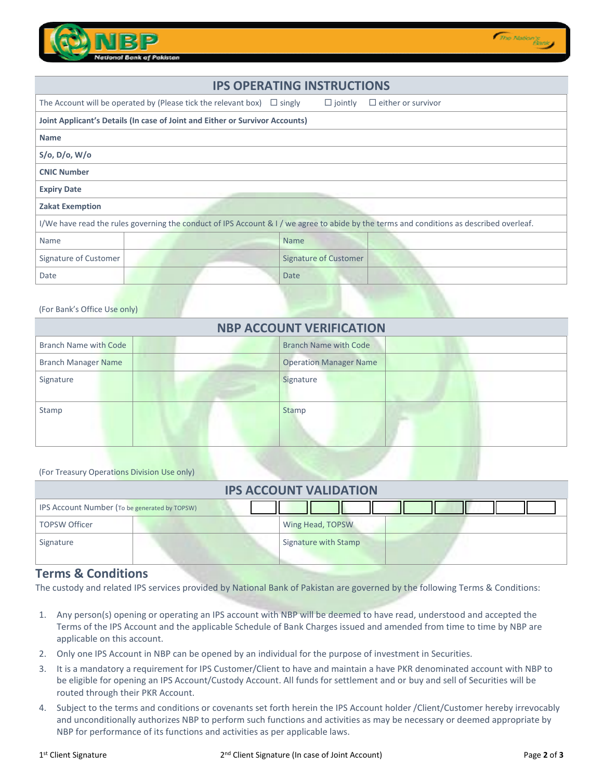

| <b>IPS OPERATING INSTRUCTIONS</b>                                                                                                        |                                                                              |             |                              |                           |
|------------------------------------------------------------------------------------------------------------------------------------------|------------------------------------------------------------------------------|-------------|------------------------------|---------------------------|
|                                                                                                                                          | The Account will be operated by (Please tick the relevant box) $\Box$ singly |             | $\Box$ jointly               | $\Box$ either or survivor |
| Joint Applicant's Details (In case of Joint and Either or Survivor Accounts)                                                             |                                                                              |             |                              |                           |
| <b>Name</b>                                                                                                                              |                                                                              |             |                              |                           |
| $S$ /o, D/o, W/o                                                                                                                         |                                                                              |             |                              |                           |
| <b>CNIC Number</b>                                                                                                                       |                                                                              |             |                              |                           |
| <b>Expiry Date</b>                                                                                                                       |                                                                              |             |                              |                           |
| <b>Zakat Exemption</b>                                                                                                                   |                                                                              |             |                              |                           |
| I/We have read the rules governing the conduct of IPS Account & I / we agree to abide by the terms and conditions as described overleaf. |                                                                              |             |                              |                           |
| Name                                                                                                                                     |                                                                              | <b>Name</b> |                              |                           |
| Signature of Customer                                                                                                                    |                                                                              |             | <b>Signature of Customer</b> |                           |
| Date                                                                                                                                     |                                                                              | Date        |                              |                           |

## (For Bank's Office Use only)

| <b>NBP ACCOUNT VERIFICATION</b> |                               |  |  |  |
|---------------------------------|-------------------------------|--|--|--|
| Branch Name with Code           | <b>Branch Name with Code</b>  |  |  |  |
| <b>Branch Manager Name</b>      | <b>Operation Manager Name</b> |  |  |  |
| Signature                       | Signature                     |  |  |  |
| Stamp                           | Stamp                         |  |  |  |

(For Treasury Operations Division Use only)

| <b>IPS ACCOUNT VALIDATION</b>                        |                      |  |  |  |  |
|------------------------------------------------------|----------------------|--|--|--|--|
| <b>IPS Account Number (To be generated by TOPSW)</b> |                      |  |  |  |  |
| <b>TOPSW Officer</b>                                 | Wing Head, TOPSW     |  |  |  |  |
| Signature                                            | Signature with Stamp |  |  |  |  |

## **Terms & Conditions**

The custody and related IPS services provided by National Bank of Pakistan are governed by the following Terms & Conditions:

- 1. Any person(s) opening or operating an IPS account with NBP will be deemed to have read, understood and accepted the Terms of the IPS Account and the applicable Schedule of Bank Charges issued and amended from time to time by NBP are applicable on this account.
- 2. Only one IPS Account in NBP can be opened by an individual for the purpose of investment in Securities.
- 3. It is a mandatory a requirement for IPS Customer/Client to have and maintain a have PKR denominated account with NBP to be eligible for opening an IPS Account/Custody Account. All funds for settlement and or buy and sell of Securities will be routed through their PKR Account.
- 4. Subject to the terms and conditions or covenants set forth herein the IPS Account holder /Client/Customer hereby irrevocably and unconditionally authorizes NBP to perform such functions and activities as may be necessary or deemed appropriate by NBP for performance of its functions and activities as per applicable laws.